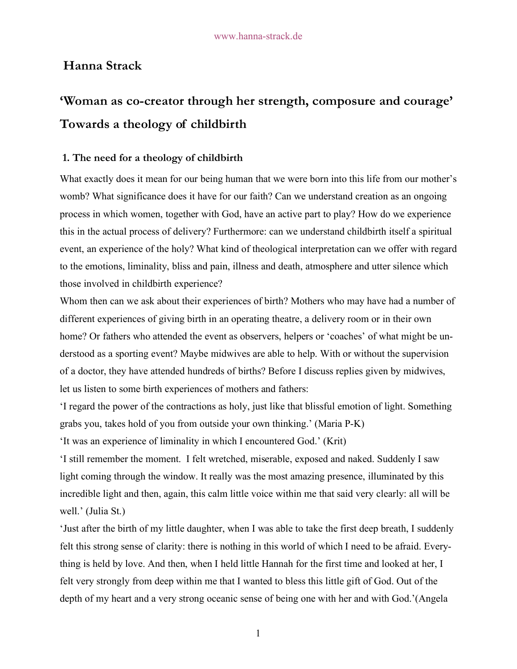## **Hanna Strack**

# **'Woman as co-creator through her strength, composure and courage' Towards a theology of childbirth**

## **1. The need for a theology of childbirth**

What exactly does it mean for our being human that we were born into this life from our mother's womb? What significance does it have for our faith? Can we understand creation as an ongoing process in which women, together with God, have an active part to play? How do we experience this in the actual process of delivery? Furthermore: can we understand childbirth itself a spiritual event, an experience of the holy? What kind of theological interpretation can we offer with regard to the emotions, liminality, bliss and pain, illness and death, atmosphere and utter silence which those involved in childbirth experience?

Whom then can we ask about their experiences of birth? Mothers who may have had a number of different experiences of giving birth in an operating theatre, a delivery room or in their own home? Or fathers who attended the event as observers, helpers or 'coaches' of what might be understood as a sporting event? Maybe midwives are able to help. With or without the supervision of a doctor, they have attended hundreds of births? Before I discuss replies given by midwives, let us listen to some birth experiences of mothers and fathers:

'I regard the power of the contractions as holy, just like that blissful emotion of light. Something grabs you, takes hold of you from outside your own thinking.' (Maria P-K)

'It was an experience of liminality in which I encountered God.' (Krit)

'I still remember the moment. I felt wretched, miserable, exposed and naked. Suddenly I saw light coming through the window. It really was the most amazing presence, illuminated by this incredible light and then, again, this calm little voice within me that said very clearly: all will be well.' (Julia St.)

'Just after the birth of my little daughter, when I was able to take the first deep breath, I suddenly felt this strong sense of clarity: there is nothing in this world of which I need to be afraid. Everything is held by love. And then, when I held little Hannah for the first time and looked at her, I felt very strongly from deep within me that I wanted to bless this little gift of God. Out of the depth of my heart and a very strong oceanic sense of being one with her and with God.'(Angela

1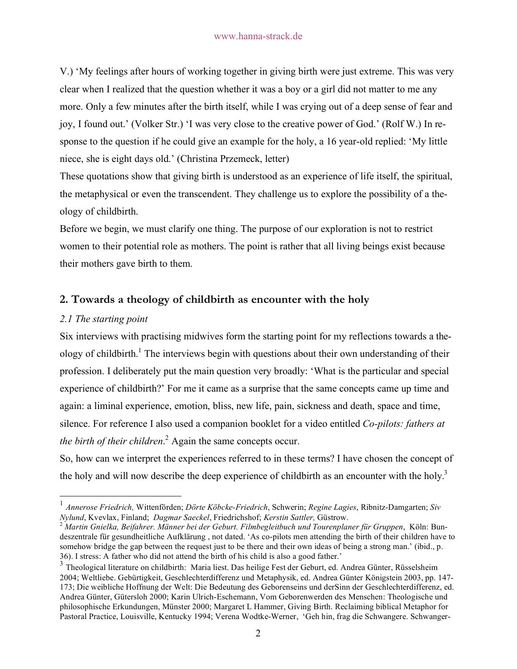V.) 'My feelings after hours of working together in giving birth were just extreme. This was very clear when I realized that the question whether it was a boy or a girl did not matter to me any more. Only a few minutes after the birth itself, while I was crying out of a deep sense of fear and joy, I found out.' (Volker Str.) 'I was very close to the creative power of God.' (Rolf W.) In response to the question if he could give an example for the holy, a 16 year-old replied: 'My little niece, she is eight days old.' (Christina Przemeck, letter)

These quotations show that giving birth is understood as an experience of life itself, the spiritual, the metaphysical or even the transcendent. They challenge us to explore the possibility of a theology of childbirth.

Before we begin, we must clarify one thing. The purpose of our exploration is not to restrict women to their potential role as mothers. The point is rather that all living beings exist because their mothers gave birth to them.

## **2. Towards a theology of childbirth as encounter with the holy**

## *2.1 The starting point*

Six interviews with practising midwives form the starting point for my reflections towards a theology of childbirth.<sup>1</sup> The interviews begin with questions about their own understanding of their profession. I deliberately put the main question very broadly: 'What is the particular and special experience of childbirth?' For me it came as a surprise that the same concepts came up time and again: a liminal experience, emotion, bliss, new life, pain, sickness and death, space and time, silence. For reference I also used a companion booklet for a video entitled *Co-pilots: fathers at*  the birth of their children.<sup>2</sup> Again the same concepts occur.

So, how can we interpret the experiences referred to in these terms? I have chosen the concept of the holy and will now describe the deep experience of childbirth as an encounter with the holy.<sup>3</sup>

deszentrale für gesundheitliche Aufklärung , not dated. 'As co-pilots men attending the birth of their children have to somehow bridge the gap between the request just to be there and their own ideas of being a strong man.' (ibid., p. 36). I stress: A father who did not attend the birth of his child is also a good father.'

 <sup>1</sup> *Annerose Friedrich,* Wittenförden; *Dörte Köbcke-Friedrich*, Schwerin; *Regine Lagies*, Ribnitz-Damgarten; *Siv*  Nylund, Kvevlax, Finland; Dagmar Saeckel, Friedrichshof; Kerstin Sattler, Güstrow.<br><sup>2</sup> Martin Gnielka, Beifahrer. Männer bei der Geburt. Filmbegleitbuch und Tourenplaner für Gruppen, Köln: Bun-

<sup>&</sup>lt;sup>3</sup> Theological literature on childbirth: Maria liest. Das heilige Fest der Geburt, ed. Andrea Günter, Rüsselsheim 2004; Weltliebe. Gebürtigkeit, Geschlechterdifferenz und Metaphysik, ed. Andrea Günter Königstein 2003, pp. 147- 173; Die weibliche Hoffnung der Welt: Die Bedeutung des Geborenseins und derSinn der Geschlechterdifferenz, ed. Andrea Günter, Gütersloh 2000; Karin Ulrich-Eschemann, Vom Geborenwerden des Menschen: Theologische und philosophische Erkundungen, Münster 2000; Margaret L Hammer, Giving Birth. Reclaiming biblical Metaphor for Pastoral Practice, Louisville, Kentucky 1994; Verena Wodtke-Werner, 'Geh hin, frag die Schwangere. Schwanger-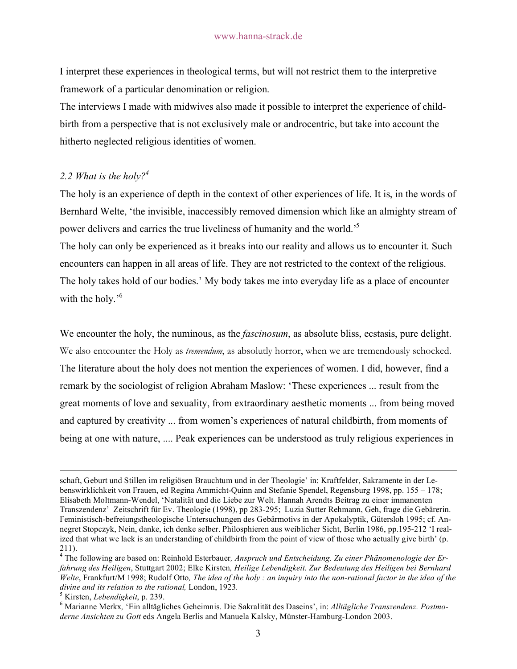I interpret these experiences in theological terms, but will not restrict them to the interpretive framework of a particular denomination or religion.

The interviews I made with midwives also made it possible to interpret the experience of childbirth from a perspective that is not exclusively male or androcentric, but take into account the hitherto neglected religious identities of women.

## *2.2 What is the holy?4*

The holy is an experience of depth in the context of other experiences of life. It is, in the words of Bernhard Welte, 'the invisible, inaccessibly removed dimension which like an almighty stream of power delivers and carries the true liveliness of humanity and the world.'5

The holy can only be experienced as it breaks into our reality and allows us to encounter it. Such encounters can happen in all areas of life. They are not restricted to the context of the religious. The holy takes hold of our bodies.' My body takes me into everyday life as a place of encounter with the holy.<sup>56</sup>

We encounter the holy, the numinous, as the *fascinosum*, as absolute bliss, ecstasis, pure delight. We also entcounter the Holy as *tremendum*, as absolutly horror, when we are tremendously schocked. The literature about the holy does not mention the experiences of women. I did, however, find a remark by the sociologist of religion Abraham Maslow: 'These experiences ... result from the great moments of love and sexuality, from extraordinary aesthetic moments ... from being moved and captured by creativity ... from women's experiences of natural childbirth, from moments of being at one with nature, .... Peak experiences can be understood as truly religious experiences in

schaft, Geburt und Stillen im religiösen Brauchtum und in der Theologie' in: Kraftfelder, Sakramente in der Lebenswirklichkeit von Frauen, ed Regina Ammicht-Quinn and Stefanie Spendel, Regensburg 1998, pp. 155 – 178; Elisabeth Moltmann-Wendel, 'Natalität und die Liebe zur Welt. Hannah Arendts Beitrag zu einer immanenten Transzendenz' Zeitschrift für Ev. Theologie (1998), pp 283-295; Luzia Sutter Rehmann, Geh, frage die Gebärerin. Feministisch-befreiungstheologische Untersuchungen des Gebärmotivs in der Apokalyptik, Gütersloh 1995; cf. Annegret Stopczyk, Nein, danke, ich denke selber. Philosphieren aus weiblicher Sicht, Berlin 1986, pp.195-212 'I realized that what we lack is an understanding of childbirth from the point of view of those who actually give birth' (p. 211).

<sup>4</sup> The following are based on: Reinhold Esterbauer*, Anspruch und Entscheidung. Zu einer Phänomenologie der Erfahrung des Heiligen*, Stuttgart 2002; Elke Kirsten*, Heilige Lebendigkeit. Zur Bedeutung des Heiligen bei Bernhard Welte*, Frankfurt/M 1998; Rudolf Otto*, The idea of the holy : an inquiry into the non-rational factor in the idea of the divine and its relation to the rational,* London, 1923*.* <sup>5</sup>

Kirsten, *Lebendigkeit*, p. 239. <sup>6</sup>

Marianne Merkx*,* 'Ein alltägliches Geheimnis. Die Sakralität des Daseins', in: *Alltägliche Transzendenz. Postmoderne Ansichten zu Gott* eds Angela Berlis and Manuela Kalsky, Münster-Hamburg-London 2003.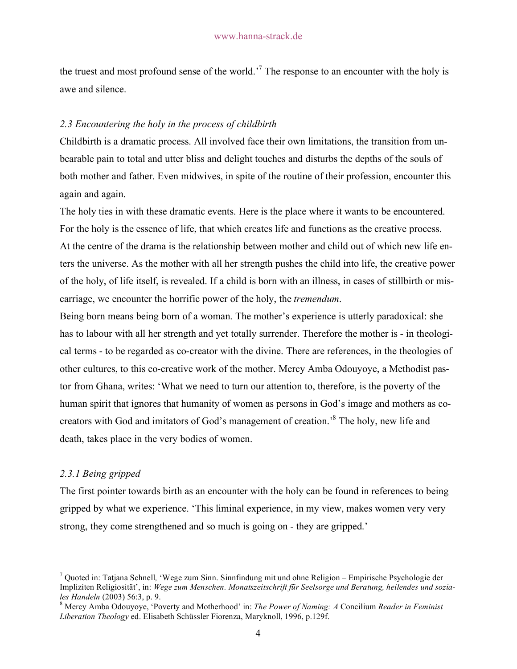the truest and most profound sense of the world.<sup>7</sup> The response to an encounter with the holy is awe and silence.

## *2.3 Encountering the holy in the process of childbirth*

Childbirth is a dramatic process. All involved face their own limitations, the transition from unbearable pain to total and utter bliss and delight touches and disturbs the depths of the souls of both mother and father. Even midwives, in spite of the routine of their profession, encounter this again and again.

The holy ties in with these dramatic events. Here is the place where it wants to be encountered. For the holy is the essence of life, that which creates life and functions as the creative process. At the centre of the drama is the relationship between mother and child out of which new life enters the universe. As the mother with all her strength pushes the child into life, the creative power of the holy, of life itself, is revealed. If a child is born with an illness, in cases of stillbirth or miscarriage, we encounter the horrific power of the holy, the *tremendum*.

Being born means being born of a woman. The mother's experience is utterly paradoxical: she has to labour with all her strength and yet totally surrender. Therefore the mother is - in theological terms - to be regarded as co-creator with the divine. There are references, in the theologies of other cultures, to this co-creative work of the mother. Mercy Amba Odouyoye, a Methodist pastor from Ghana, writes: 'What we need to turn our attention to, therefore, is the poverty of the human spirit that ignores that humanity of women as persons in God's image and mothers as cocreators with God and imitators of God's management of creation.<sup>8</sup> The holy, new life and death, takes place in the very bodies of women.

## *2.3.1 Being gripped*

The first pointer towards birth as an encounter with the holy can be found in references to being gripped by what we experience. 'This liminal experience, in my view, makes women very very strong, they come strengthened and so much is going on - they are gripped.'

<sup>&</sup>lt;sup>-</sup> Quoted in: Tatjana Schnell*,* 'Wege zum Sinn. Sinnfindung mit und ohne Religion – Empirische Psychologie der Impliziten Religiosität', in: *Wege zum Menschen. Monatszeitschrift für Seelsorge und Beratung, heilendes und soziales Handeln* (2003) 56:3, p. 9.<br><sup>8</sup> Mercy Amba Odouyoye, 'Poverty and Motherhood' in: *The Power of Naming: A* Concilium *Reader in Feminist* 

*Liberation Theology* ed. Elisabeth Schüssler Fiorenza, Maryknoll, 1996, p.129f.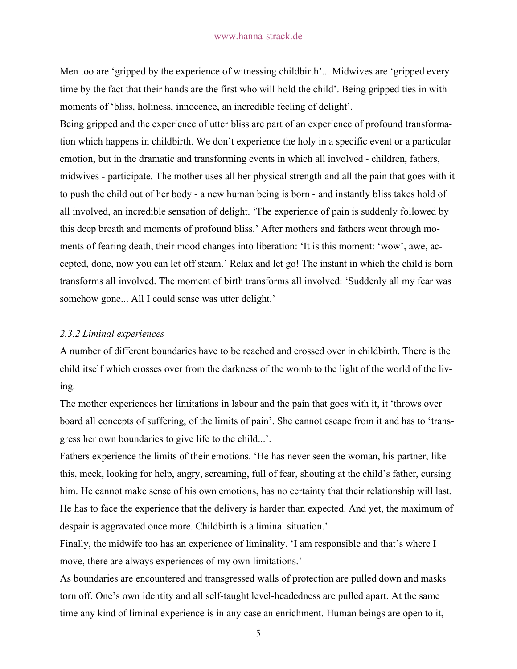Men too are 'gripped by the experience of witnessing childbirth'... Midwives are 'gripped every time by the fact that their hands are the first who will hold the child'. Being gripped ties in with moments of 'bliss, holiness, innocence, an incredible feeling of delight'.

Being gripped and the experience of utter bliss are part of an experience of profound transformation which happens in childbirth. We don't experience the holy in a specific event or a particular emotion, but in the dramatic and transforming events in which all involved - children, fathers, midwives - participate. The mother uses all her physical strength and all the pain that goes with it to push the child out of her body - a new human being is born - and instantly bliss takes hold of all involved, an incredible sensation of delight. 'The experience of pain is suddenly followed by this deep breath and moments of profound bliss.' After mothers and fathers went through moments of fearing death, their mood changes into liberation: 'It is this moment: 'wow', awe, accepted, done, now you can let off steam.' Relax and let go! The instant in which the child is born transforms all involved. The moment of birth transforms all involved: 'Suddenly all my fear was somehow gone... All I could sense was utter delight.'

## *2.3.2 Liminal experiences*

A number of different boundaries have to be reached and crossed over in childbirth. There is the child itself which crosses over from the darkness of the womb to the light of the world of the living.

The mother experiences her limitations in labour and the pain that goes with it, it 'throws over board all concepts of suffering, of the limits of pain'. She cannot escape from it and has to 'transgress her own boundaries to give life to the child...'.

Fathers experience the limits of their emotions. 'He has never seen the woman, his partner, like this, meek, looking for help, angry, screaming, full of fear, shouting at the child's father, cursing him. He cannot make sense of his own emotions, has no certainty that their relationship will last. He has to face the experience that the delivery is harder than expected. And yet, the maximum of despair is aggravated once more. Childbirth is a liminal situation.'

Finally, the midwife too has an experience of liminality. 'I am responsible and that's where I move, there are always experiences of my own limitations.'

As boundaries are encountered and transgressed walls of protection are pulled down and masks torn off. One's own identity and all self-taught level-headedness are pulled apart. At the same time any kind of liminal experience is in any case an enrichment. Human beings are open to it,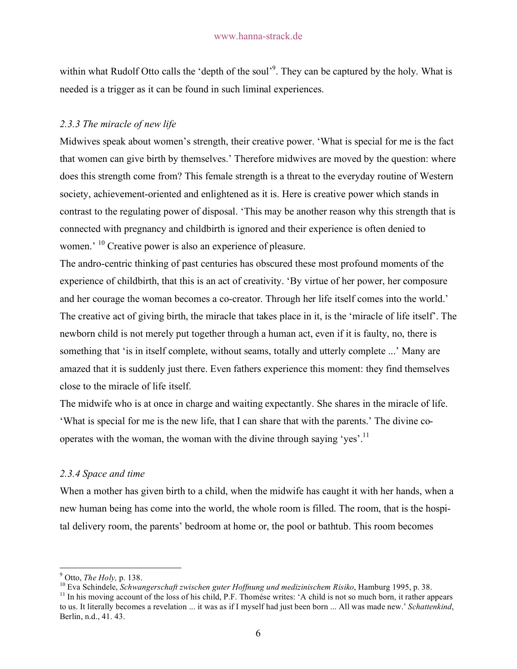within what Rudolf Otto calls the 'depth of the soul'<sup>9</sup>. They can be captured by the holy. What is needed is a trigger as it can be found in such liminal experiences.

## *2.3.3 The miracle of new life*

Midwives speak about women's strength, their creative power. 'What is special for me is the fact that women can give birth by themselves.' Therefore midwives are moved by the question: where does this strength come from? This female strength is a threat to the everyday routine of Western society, achievement-oriented and enlightened as it is. Here is creative power which stands in contrast to the regulating power of disposal. 'This may be another reason why this strength that is connected with pregnancy and childbirth is ignored and their experience is often denied to women.<sup>' 10</sup> Creative power is also an experience of pleasure.

The andro-centric thinking of past centuries has obscured these most profound moments of the experience of childbirth, that this is an act of creativity. 'By virtue of her power, her composure and her courage the woman becomes a co-creator. Through her life itself comes into the world.' The creative act of giving birth, the miracle that takes place in it, is the 'miracle of life itself'. The newborn child is not merely put together through a human act, even if it is faulty, no, there is something that 'is in itself complete, without seams, totally and utterly complete ...' Many are amazed that it is suddenly just there. Even fathers experience this moment: they find themselves close to the miracle of life itself.

The midwife who is at once in charge and waiting expectantly. She shares in the miracle of life. 'What is special for me is the new life, that I can share that with the parents.' The divine cooperates with the woman, the woman with the divine through saying 'yes'.<sup>11</sup>

## *2.3.4 Space and time*

When a mother has given birth to a child, when the midwife has caught it with her hands, when a new human being has come into the world, the whole room is filled. The room, that is the hospital delivery room, the parents' bedroom at home or, the pool or bathtub. This room becomes

<sup>&</sup>lt;sup>-</sup>9

<sup>&</sup>lt;sup>9</sup> Otto, *The Holy*, p. 138.<br><sup>10</sup> Eva Schindele, *Schwangerschaft zwischen guter Hoffnung und medizinischem Risiko*, Hamburg 1995, p. 38.<br><sup>11</sup> In his moving account of the loss of his child, P.F. Thomése writes: 'A child

to us. It literally becomes a revelation ... it was as if I myself had just been born ... All was made new.' *Schattenkind*, Berlin, n.d., 41. 43.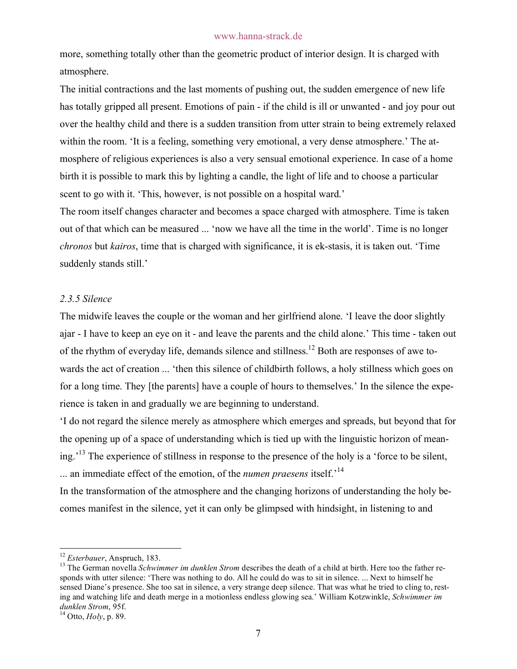more, something totally other than the geometric product of interior design. It is charged with atmosphere.

The initial contractions and the last moments of pushing out, the sudden emergence of new life has totally gripped all present. Emotions of pain - if the child is ill or unwanted - and joy pour out over the healthy child and there is a sudden transition from utter strain to being extremely relaxed within the room. 'It is a feeling, something very emotional, a very dense atmosphere.' The atmosphere of religious experiences is also a very sensual emotional experience. In case of a home birth it is possible to mark this by lighting a candle, the light of life and to choose a particular scent to go with it. 'This, however, is not possible on a hospital ward.'

The room itself changes character and becomes a space charged with atmosphere. Time is taken out of that which can be measured ... 'now we have all the time in the world'. Time is no longer *chronos* but *kairos*, time that is charged with significance, it is ek-stasis, it is taken out. 'Time suddenly stands still.'

## *2.3.5 Silence*

The midwife leaves the couple or the woman and her girlfriend alone. 'I leave the door slightly ajar - I have to keep an eye on it - and leave the parents and the child alone.' This time - taken out of the rhythm of everyday life, demands silence and stillness.<sup>12</sup> Both are responses of awe towards the act of creation ... 'then this silence of childbirth follows, a holy stillness which goes on for a long time. They [the parents] have a couple of hours to themselves.' In the silence the experience is taken in and gradually we are beginning to understand.

'I do not regard the silence merely as atmosphere which emerges and spreads, but beyond that for the opening up of a space of understanding which is tied up with the linguistic horizon of meaning.<sup>13</sup> The experience of stillness in response to the presence of the holy is a 'force to be silent, ... an immediate effect of the emotion, of the *numen praesens* itself.'<sup>14</sup>

In the transformation of the atmosphere and the changing horizons of understanding the holy becomes manifest in the silence, yet it can only be glimpsed with hindsight, in listening to and

<sup>&</sup>lt;sup>12</sup> *Esterbauer*, Anspruch, 183.<br><sup>13</sup> The German novella *Schwimmer im dunklen Strom* describes the death of a child at birth. Here too the father responds with utter silence: 'There was nothing to do. All he could do was to sit in silence. ... Next to himself he sensed Diane's presence. She too sat in silence, a very strange deep silence. That was what he tried to cling to, resting and watching life and death merge in a motionless endless glowing sea.' William Kotzwinkle, *Schwimmer im* 

<sup>&</sup>lt;sup>14</sup> Otto, *Holy*, p. 89.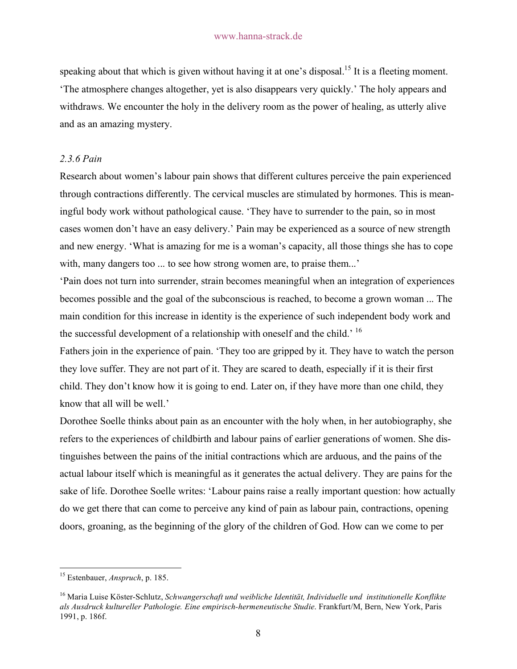speaking about that which is given without having it at one's disposal.<sup>15</sup> It is a fleeting moment. 'The atmosphere changes altogether, yet is also disappears very quickly.' The holy appears and withdraws. We encounter the holy in the delivery room as the power of healing, as utterly alive and as an amazing mystery.

## *2.3.6 Pain*

Research about women's labour pain shows that different cultures perceive the pain experienced through contractions differently. The cervical muscles are stimulated by hormones. This is meaningful body work without pathological cause. 'They have to surrender to the pain, so in most cases women don't have an easy delivery.' Pain may be experienced as a source of new strength and new energy. 'What is amazing for me is a woman's capacity, all those things she has to cope with, many dangers too ... to see how strong women are, to praise them...'

'Pain does not turn into surrender, strain becomes meaningful when an integration of experiences becomes possible and the goal of the subconscious is reached, to become a grown woman ... The main condition for this increase in identity is the experience of such independent body work and the successful development of a relationship with oneself and the child.<sup> $16$ </sup>

Fathers join in the experience of pain. 'They too are gripped by it. They have to watch the person they love suffer. They are not part of it. They are scared to death, especially if it is their first child. They don't know how it is going to end. Later on, if they have more than one child, they know that all will be well.'

Dorothee Soelle thinks about pain as an encounter with the holy when, in her autobiography, she refers to the experiences of childbirth and labour pains of earlier generations of women. She distinguishes between the pains of the initial contractions which are arduous, and the pains of the actual labour itself which is meaningful as it generates the actual delivery. They are pains for the sake of life. Dorothee Soelle writes: 'Labour pains raise a really important question: how actually do we get there that can come to perceive any kind of pain as labour pain, contractions, opening doors, groaning, as the beginning of the glory of the children of God. How can we come to per

 <sup>15</sup> Estenbauer, *Anspruch*, p. 185.

<sup>16</sup> Maria Luise Köster-Schlutz, *Schwangerschaft und weibliche Identität, Individuelle und institutionelle Konflikte als Ausdruck kultureller Pathologie. Eine empirisch-hermeneutische Studie*. Frankfurt/M, Bern, New York, Paris 1991, p. 186f.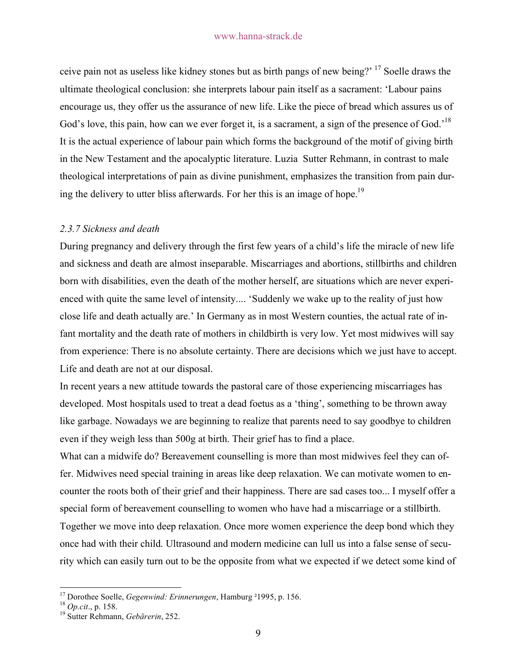ceive pain not as useless like kidney stones but as birth pangs of new being?' 17 Soelle draws the ultimate theological conclusion: she interprets labour pain itself as a sacrament: 'Labour pains encourage us, they offer us the assurance of new life. Like the piece of bread which assures us of God's love, this pain, how can we ever forget it, is a sacrament, a sign of the presence of God.<sup>18</sup> It is the actual experience of labour pain which forms the background of the motif of giving birth in the New Testament and the apocalyptic literature. Luzia Sutter Rehmann, in contrast to male theological interpretations of pain as divine punishment, emphasizes the transition from pain during the delivery to utter bliss afterwards. For her this is an image of hope.<sup>19</sup>

#### *2.3.7 Sickness and death*

During pregnancy and delivery through the first few years of a child's life the miracle of new life and sickness and death are almost inseparable. Miscarriages and abortions, stillbirths and children born with disabilities, even the death of the mother herself, are situations which are never experienced with quite the same level of intensity.... 'Suddenly we wake up to the reality of just how close life and death actually are.' In Germany as in most Western counties, the actual rate of infant mortality and the death rate of mothers in childbirth is very low. Yet most midwives will say from experience: There is no absolute certainty. There are decisions which we just have to accept. Life and death are not at our disposal.

In recent years a new attitude towards the pastoral care of those experiencing miscarriages has developed. Most hospitals used to treat a dead foetus as a 'thing', something to be thrown away like garbage. Nowadays we are beginning to realize that parents need to say goodbye to children even if they weigh less than 500g at birth. Their grief has to find a place.

What can a midwife do? Bereavement counselling is more than most midwives feel they can offer. Midwives need special training in areas like deep relaxation. We can motivate women to encounter the roots both of their grief and their happiness. There are sad cases too... I myself offer a special form of bereavement counselling to women who have had a miscarriage or a stillbirth. Together we move into deep relaxation. Once more women experience the deep bond which they once had with their child. Ultrasound and modern medicine can lull us into a false sense of security which can easily turn out to be the opposite from what we expected if we detect some kind of

 <sup>17</sup> Dorothee Soelle, *Gegenwind: Erinnerungen*, Hamburg ²1995, p. 156. <sup>18</sup> *Op.cit*., p. 158. 19 Sutter Rehmann, *Gebärerin*, 252.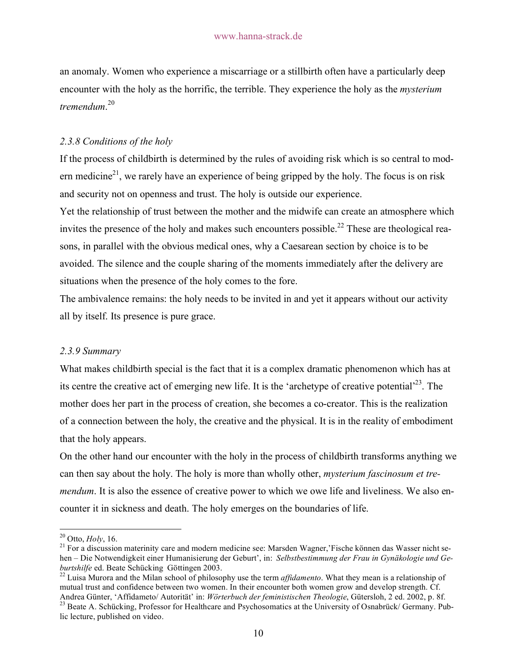an anomaly. Women who experience a miscarriage or a stillbirth often have a particularly deep encounter with the holy as the horrific, the terrible. They experience the holy as the *mysterium tremendum*. 20

## *2.3.8 Conditions of the holy*

If the process of childbirth is determined by the rules of avoiding risk which is so central to modern medicine<sup>21</sup>, we rarely have an experience of being gripped by the holy. The focus is on risk and security not on openness and trust. The holy is outside our experience.

Yet the relationship of trust between the mother and the midwife can create an atmosphere which invites the presence of the holy and makes such encounters possible.<sup>22</sup> These are theological reasons, in parallel with the obvious medical ones, why a Caesarean section by choice is to be avoided. The silence and the couple sharing of the moments immediately after the delivery are situations when the presence of the holy comes to the fore.

The ambivalence remains: the holy needs to be invited in and yet it appears without our activity all by itself. Its presence is pure grace.

#### *2.3.9 Summary*

What makes childbirth special is the fact that it is a complex dramatic phenomenon which has at its centre the creative act of emerging new life. It is the 'archetype of creative potential'<sup>23</sup>. The mother does her part in the process of creation, she becomes a co-creator. This is the realization of a connection between the holy, the creative and the physical. It is in the reality of embodiment that the holy appears.

On the other hand our encounter with the holy in the process of childbirth transforms anything we can then say about the holy. The holy is more than wholly other, *mysterium fascinosum et tremendum*. It is also the essence of creative power to which we owe life and liveliness. We also encounter it in sickness and death. The holy emerges on the boundaries of life.

<sup>&</sup>lt;sup>20</sup> Otto, *Holy*, 16.<br><sup>21</sup> For a discussion materinity care and modern medicine see: Marsden Wagner, Fische können das Wasser nicht sehen – Die Notwendigkeit einer Humanisierung der Geburt', in: *Selbstbestimmung der Frau in Gynäkologie und Ge-*

<sup>&</sup>lt;sup>22</sup> Luisa Murora and the Milan school of philosophy use the term *affidamento*. What they mean is a relationship of mutual trust and confidence between two women. In their encounter both women grow and develop strength. Cf.

Andrea Günter, 'Affidameto/ Autorität' in: Wörterbuch der feministischen Theologie, Gütersloh, 2 ed. 2002, p. 8f.<br><sup>23</sup> Beate A. Schücking, Professor for Healthcare and Psychosomatics at the University of Osnabrück/ Germany lic lecture, published on video.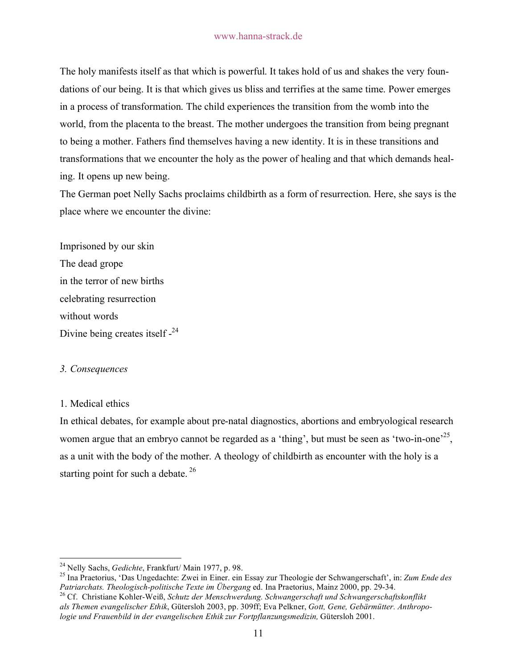The holy manifests itself as that which is powerful. It takes hold of us and shakes the very foundations of our being. It is that which gives us bliss and terrifies at the same time. Power emerges in a process of transformation. The child experiences the transition from the womb into the world, from the placenta to the breast. The mother undergoes the transition from being pregnant to being a mother. Fathers find themselves having a new identity. It is in these transitions and transformations that we encounter the holy as the power of healing and that which demands healing. It opens up new being.

The German poet Nelly Sachs proclaims childbirth as a form of resurrection. Here, she says is the place where we encounter the divine:

Imprisoned by our skin The dead grope in the terror of new births celebrating resurrection without words Divine being creates itself -<sup>24</sup>

#### *3. Consequences*

#### 1. Medical ethics

In ethical debates, for example about pre-natal diagnostics, abortions and embryological research women argue that an embryo cannot be regarded as a 'thing', but must be seen as 'two-in-one'<sup>25</sup>, as a unit with the body of the mother. A theology of childbirth as encounter with the holy is a starting point for such a debate.  $26$ 

<sup>24</sup> Nelly Sachs, *Gedichte*, Frankfurt/ Main 1977, p. 98. 25 Ina Praetorius, 'Das Ungedachte: Zwei in Einer. ein Essay zur Theologie der Schwangerschaft', in: *Zum Ende des Patriarchats. Theologisch-politische Texte im Übergang* ed. Ina Praetorius, Mainz 2000, pp. 29-34. 26 Cf. Christiane Kohler-Weiß, *Schutz der Menschwerdung. Schwangerschaft und Schwangerschaftskonflikt* 

*als Themen evangelischer Ethik*, Gütersloh 2003, pp. 309ff; Eva Pelkner, *Gott, Gene, Gebärmütter. Anthropologie und Frauenbild in der evangelischen Ethik zur Fortpflanzungsmedizin,* Gütersloh 2001.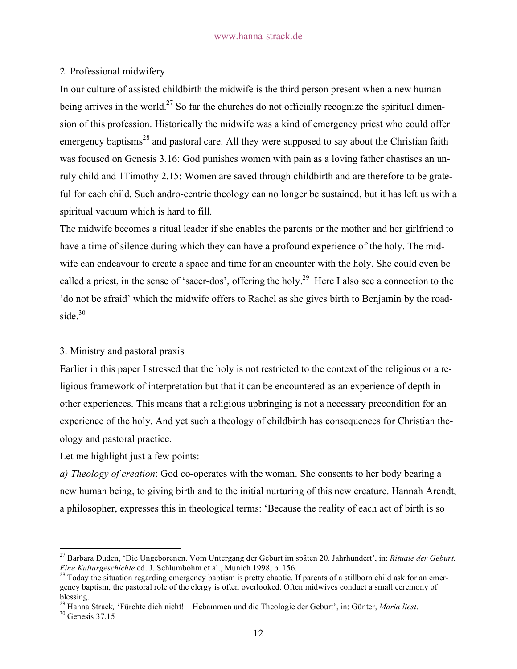## 2. Professional midwifery

In our culture of assisted childbirth the midwife is the third person present when a new human being arrives in the world.<sup>27</sup> So far the churches do not officially recognize the spiritual dimension of this profession. Historically the midwife was a kind of emergency priest who could offer emergency baptisms<sup>28</sup> and pastoral care. All they were supposed to say about the Christian faith was focused on Genesis 3.16: God punishes women with pain as a loving father chastises an unruly child and 1Timothy 2.15: Women are saved through childbirth and are therefore to be grateful for each child. Such andro-centric theology can no longer be sustained, but it has left us with a spiritual vacuum which is hard to fill.

The midwife becomes a ritual leader if she enables the parents or the mother and her girlfriend to have a time of silence during which they can have a profound experience of the holy. The midwife can endeavour to create a space and time for an encounter with the holy. She could even be called a priest, in the sense of 'sacer-dos', offering the holy.<sup>29</sup> Here I also see a connection to the 'do not be afraid' which the midwife offers to Rachel as she gives birth to Benjamin by the roadside. $30$ 

## 3. Ministry and pastoral praxis

Earlier in this paper I stressed that the holy is not restricted to the context of the religious or a religious framework of interpretation but that it can be encountered as an experience of depth in other experiences. This means that a religious upbringing is not a necessary precondition for an experience of the holy. And yet such a theology of childbirth has consequences for Christian theology and pastoral practice.

Let me highlight just a few points:

*a) Theology of creation*: God co-operates with the woman. She consents to her body bearing a new human being, to giving birth and to the initial nurturing of this new creature. Hannah Arendt, a philosopher, expresses this in theological terms: 'Because the reality of each act of birth is so

 <sup>27</sup> Barbara Duden, 'Die Ungeborenen. Vom Untergang der Geburt im späten 20. Jahrhundert', in: *Rituale der Geburt. Eine Kulturgeschichte* ed. J. Schlumbohm et al., Munich 1998, p. 156.<br><sup>28</sup> Today the situation regarding emergency baptism is pretty chaotic. If parents of a stillborn child ask for an emer-

gency baptism, the pastoral role of the clergy is often overlooked. Often midwives conduct a small ceremony of blessing.

<sup>29</sup> Hanna Strack*,* 'Fürchte dich nicht! – Hebammen und die Theologie der Geburt', in: Günter, *Maria liest*. 30 Genesis 37.15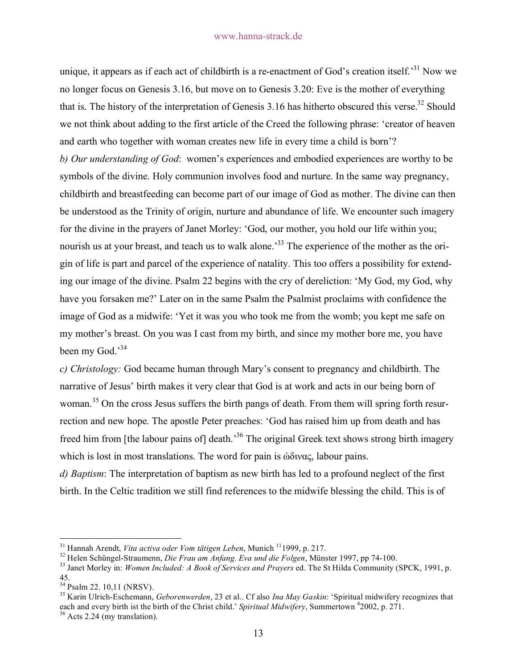unique, it appears as if each act of childbirth is a re-enactment of God's creation itself.<sup>31</sup> Now we no longer focus on Genesis 3.16, but move on to Genesis 3.20: Eve is the mother of everything that is. The history of the interpretation of Genesis 3.16 has hitherto obscured this verse.<sup>32</sup> Should we not think about adding to the first article of the Creed the following phrase: 'creator of heaven and earth who together with woman creates new life in every time a child is born'? *b) Our understanding of God*: women's experiences and embodied experiences are worthy to be symbols of the divine. Holy communion involves food and nurture. In the same way pregnancy, childbirth and breastfeeding can become part of our image of God as mother. The divine can then be understood as the Trinity of origin, nurture and abundance of life. We encounter such imagery for the divine in the prayers of Janet Morley: 'God, our mother, you hold our life within you; nourish us at your breast, and teach us to walk alone.<sup>33</sup> The experience of the mother as the origin of life is part and parcel of the experience of natality. This too offers a possibility for extending our image of the divine. Psalm 22 begins with the cry of dereliction: 'My God, my God, why have you forsaken me?' Later on in the same Psalm the Psalmist proclaims with confidence the image of God as a midwife: 'Yet it was you who took me from the womb; you kept me safe on my mother's breast. On you was I cast from my birth, and since my mother bore me, you have been my God.<sup>34</sup>

*c) Christology:* God became human through Mary's consent to pregnancy and childbirth. The narrative of Jesus' birth makes it very clear that God is at work and acts in our being born of woman.<sup>35</sup> On the cross Jesus suffers the birth pangs of death. From them will spring forth resurrection and new hope. The apostle Peter preaches: 'God has raised him up from death and has freed him from [the labour pains of] death.<sup>36</sup> The original Greek text shows strong birth imagery which is lost in most translations. The word for pain is ώδινας, labour pains.

*d) Baptism*: The interpretation of baptism as new birth has led to a profound neglect of the first birth. In the Celtic tradition we still find references to the midwife blessing the child. This is of

<sup>&</sup>lt;sup>31</sup> Hannah Arendt, *Vita activa oder Vom tätigen Leben*, Munich <sup>11</sup>1999, p. 217.<br><sup>32</sup> Helen Schüngel-Straumenn, *Die Frau am Anfang. Eva und die Folgen*, Münster 1997, pp 74-100.<br><sup>33</sup> Janet Morley in: *Women Included: A* 45.<br><sup>34</sup> Psalm 22. 10,11 (NRSV).

<sup>&</sup>lt;sup>35</sup> Karin Ulrich-Eschemann, *Geborenwerden*, 23 et al.. Cf also *Ina May Gaskin*: 'Spiritual midwifery recognizes that each and every birth ist the birth of the Christ child.' *Spiritual Midwifery*, Summertown <sup>4</sup>2002, p. 271.<br><sup>36</sup> Acts 2.24 (my translation).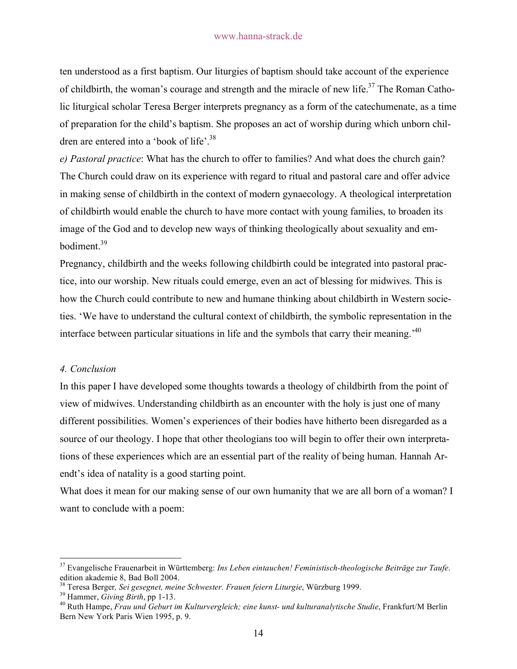ten understood as a first baptism. Our liturgies of baptism should take account of the experience of childbirth, the woman's courage and strength and the miracle of new life.<sup>37</sup> The Roman Catholic liturgical scholar Teresa Berger interprets pregnancy as a form of the catechumenate, as a time of preparation for the child's baptism. She proposes an act of worship during which unborn children are entered into a 'book of life'.<sup>38</sup>

*e) Pastoral practice*: What has the church to offer to families? And what does the church gain? The Church could draw on its experience with regard to ritual and pastoral care and offer advice in making sense of childbirth in the context of modern gynaecology. A theological interpretation of childbirth would enable the church to have more contact with young families, to broaden its image of the God and to develop new ways of thinking theologically about sexuality and embodiment.39

Pregnancy, childbirth and the weeks following childbirth could be integrated into pastoral practice, into our worship. New rituals could emerge, even an act of blessing for midwives. This is how the Church could contribute to new and humane thinking about childbirth in Western societies. 'We have to understand the cultural context of childbirth, the symbolic representation in the interface between particular situations in life and the symbols that carry their meaning.'40

#### *4. Conclusion*

In this paper I have developed some thoughts towards a theology of childbirth from the point of view of midwives. Understanding childbirth as an encounter with the holy is just one of many different possibilities. Women's experiences of their bodies have hitherto been disregarded as a source of our theology. I hope that other theologians too will begin to offer their own interpretations of these experiences which are an essential part of the reality of being human. Hannah Arendt's idea of natality is a good starting point.

What does it mean for our making sense of our own humanity that we are all born of a woman? I want to conclude with a poem:

 <sup>37</sup> Evangelische Frauenarbeit in Württemberg: *Ins Leben eintauchen! Feministisch-theologische Beiträge zur Taufe*. edition akademie 8, Bad Boll 2004.<br><sup>38</sup> Teresa Berger, *Sei gesegnet, meine Schwester. Frauen feiern Liturgie*, Würzburg 1999.

<sup>&</sup>lt;sup>39</sup> Hammer, *Giving Birth*, pp 1-13.<br><sup>40</sup> Ruth Hampe, *Frau und Geburt im Kulturvergleich; eine kunst- und kulturanalytische Studie*, Frankfurt/M Berlin Bern New York Paris Wien 1995, p. 9.